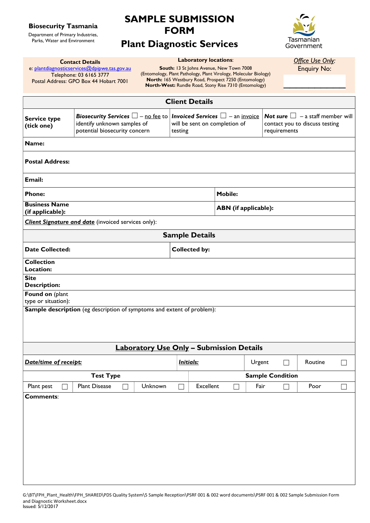### Biosecurity Tasmania

Department of Primary Industries, Parks, Water and Environment

# SAMPLE SUBMISSION FORM

### Plant Diagnostic Services



#### Laboratory locations:

Contact Details e: plantdiagnosticservices@dpipwe.tas.gov.au Telephone: 03 6165 3777 Postal Address: GPO Box 44 Hobart 7001 South: 13 St Johns Avenue, New Town 7008 (Entomology, Plant Pathology, Plant Virology, Molecular Biology) North: 165 Westbury Road, Prospect 7250 (Entomology) North-West: Rundle Road, Stony Rise 7310 (Entomology)

Office Use Only: Enquiry No:

 $\overline{\phantom{a}}$  . The set of the set of the set of the set of the set of the set of the set of the set of the set of the set of the set of the set of the set of the set of the set of the set of the set of the set of the set o

|                                          |                                                                                                                                                                                         |                         |                             | <b>Client Details</b>         |              |         |                                                |        |      |        |  |  |
|------------------------------------------|-----------------------------------------------------------------------------------------------------------------------------------------------------------------------------------------|-------------------------|-----------------------------|-------------------------------|--------------|---------|------------------------------------------------|--------|------|--------|--|--|
| <b>Service type</b><br>(tick one)        | Biosecurity Services $\Box$ – no fee to   Invoiced Services $\Box$ – an invoice   Not sure $\Box$ – a staff member will<br>identify unknown samples of<br>potential biosecurity concern |                         | testing                     | will be sent on completion of |              |         | contact you to discuss testing<br>requirements |        |      |        |  |  |
| Name:                                    |                                                                                                                                                                                         |                         |                             |                               |              |         |                                                |        |      |        |  |  |
| <b>Postal Address:</b>                   |                                                                                                                                                                                         |                         |                             |                               |              |         |                                                |        |      |        |  |  |
| Email:                                   |                                                                                                                                                                                         |                         |                             |                               |              |         |                                                |        |      |        |  |  |
| <b>Phone:</b>                            |                                                                                                                                                                                         |                         |                             | <b>Mobile:</b>                |              |         |                                                |        |      |        |  |  |
| <b>Business Name</b><br>(if applicable): |                                                                                                                                                                                         |                         | <b>ABN</b> (if applicable): |                               |              |         |                                                |        |      |        |  |  |
|                                          | <b>Client Signature and date</b> (invoiced services only):                                                                                                                              |                         |                             |                               |              |         |                                                |        |      |        |  |  |
|                                          |                                                                                                                                                                                         |                         |                             | <b>Sample Details</b>         |              |         |                                                |        |      |        |  |  |
| <b>Date Collected:</b>                   |                                                                                                                                                                                         |                         |                             | <b>Collected by:</b>          |              |         |                                                |        |      |        |  |  |
| <b>Collection</b><br><b>Location:</b>    |                                                                                                                                                                                         |                         |                             |                               |              |         |                                                |        |      |        |  |  |
| <b>Site</b><br><b>Description:</b>       |                                                                                                                                                                                         |                         |                             |                               |              |         |                                                |        |      |        |  |  |
| Found on (plant<br>type or situation):   |                                                                                                                                                                                         |                         |                             |                               |              |         |                                                |        |      |        |  |  |
|                                          | <b>Sample description</b> (eg description of symptoms and extent of problem):                                                                                                           |                         |                             |                               |              |         |                                                |        |      |        |  |  |
|                                          |                                                                                                                                                                                         |                         |                             |                               |              |         |                                                |        |      |        |  |  |
|                                          | <b>Laboratory Use Only - Submission Details</b>                                                                                                                                         |                         |                             |                               |              |         |                                                |        |      |        |  |  |
| Date/time of receipt:                    | <u>Initials:</u>                                                                                                                                                                        |                         | Urgent                      |                               | $\mathsf{L}$ | Routine |                                                |        |      |        |  |  |
|                                          |                                                                                                                                                                                         | <b>Sample Condition</b> |                             |                               |              |         |                                                |        |      |        |  |  |
| Plant pest                               | <b>Plant Disease</b><br>Unknown<br>$\Box$                                                                                                                                               |                         | $\Box$                      | <b>Excellent</b>              | $\Box$       | Fair    |                                                | $\Box$ | Poor | $\Box$ |  |  |
| <b>Comments:</b>                         |                                                                                                                                                                                         |                         |                             |                               |              |         |                                                |        |      |        |  |  |
|                                          |                                                                                                                                                                                         |                         |                             |                               |              |         |                                                |        |      |        |  |  |
|                                          |                                                                                                                                                                                         |                         |                             |                               |              |         |                                                |        |      |        |  |  |
|                                          |                                                                                                                                                                                         |                         |                             |                               |              |         |                                                |        |      |        |  |  |
|                                          |                                                                                                                                                                                         |                         |                             |                               |              |         |                                                |        |      |        |  |  |
|                                          |                                                                                                                                                                                         |                         |                             |                               |              |         |                                                |        |      |        |  |  |
|                                          |                                                                                                                                                                                         |                         |                             |                               |              |         |                                                |        |      |        |  |  |
|                                          |                                                                                                                                                                                         |                         |                             |                               |              |         |                                                |        |      |        |  |  |